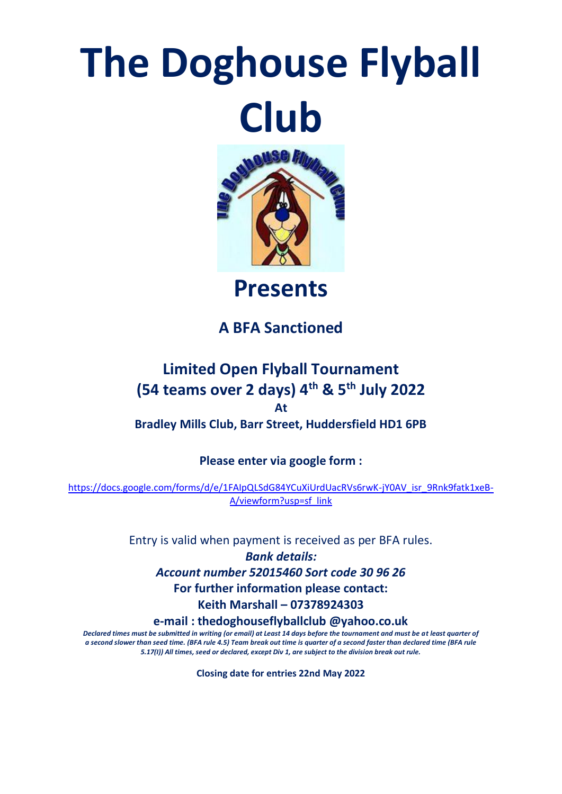## **The Doghouse Flyball Club**



**Presents**

## **A BFA Sanctioned**

## **Limited Open Flyball Tournament (54 teams over 2 days) 4th & 5th July 2022 At Bradley Mills Club, Barr Street, Huddersfield HD1 6PB**

**Please enter via google form :**

[https://docs.google.com/forms/d/e/1FAIpQLSdG84YCuXiUrdUacRVs6rwK-jY0AV\\_isr\\_9Rnk9fatk1xeB-](https://docs.google.com/forms/d/e/1FAIpQLSdG84YCuXiUrdUacRVs6rwK-jY0AV_isr_9Rnk9fatk1xeB-A/viewform?usp=sf_link)[A/viewform?usp=sf\\_link](https://docs.google.com/forms/d/e/1FAIpQLSdG84YCuXiUrdUacRVs6rwK-jY0AV_isr_9Rnk9fatk1xeB-A/viewform?usp=sf_link)

Entry is valid when payment is received as per BFA rules.

*Bank details: Account number 52015460 Sort code 30 96 26* **For further information please contact: Keith Marshall – 07378924303 e-mail : thedoghouseflyballclub @yahoo.co.uk**

*Declared times must be submitted in writing (or email) at Least 14 days before the tournament and must be at least quarter of a second slower than seed time. (BFA rule 4.5) Team break out time is quarter of a second faster than declared time (BFA rule 5.17(I)) All times, seed or declared, except Div 1, are subject to the division break out rule.*

**Closing date for entries 22nd May 2022**